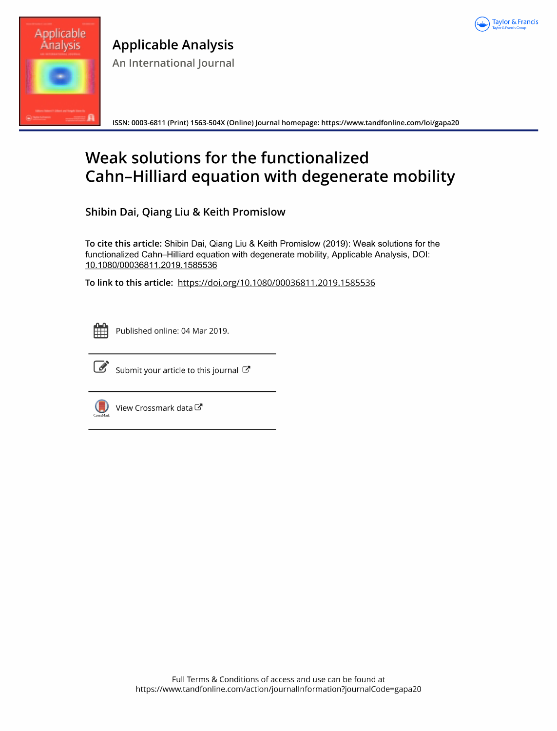



**Applicable Analysis** An International Journal

ISSN: 0003-6811 (Print) 1563-504X (Online) Journal homepage: https://www.tandfonline.com/loi/gapa20

# Weak solutions for the functionalized Cahn-Hilliard equation with degenerate mobility

Shibin Dai, Qiang Liu & Keith Promislow

To cite this article: Shibin Dai, Qiang Liu & Keith Promislow (2019): Weak solutions for the functionalized Cahn-Hilliard equation with degenerate mobility, Applicable Analysis, DOI: 10.1080/00036811.2019.1585536

To link to this article: https://doi.org/10.1080/00036811.2019.1585536



Published online: 04 Mar 2019.



Submit your article to this journal C



View Crossmark data<sup>で</sup>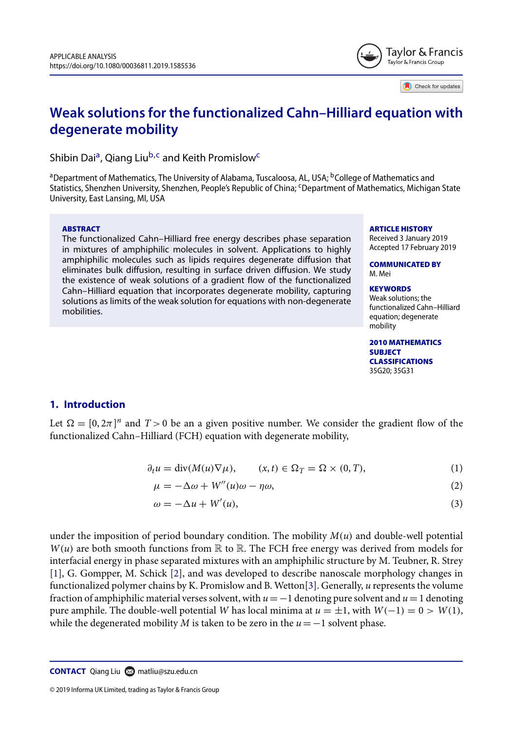

Check for updates

# **Weak solutions for the functionalized Cahn–Hilliard equation with degenerate mobility**

Shibin Dai<sup>a</sup>, Qiang Liu<sup>b,c</sup> and Keith Promislow<sup>c</sup>

<sup>a</sup>Department of Mathematics, The University of Alabama, Tuscaloosa, AL, USA; <sup>b</sup>College of Mathematics and Statistics, Shenzhen University, Shenzhen, People's Republic of China; <sup>c</sup>Department of Mathematics, Michigan State University, East Lansing, MI, USA

#### ABSTRACT

The functionalized Cahn–Hilliard free energy describes phase separation in mixtures of amphiphilic molecules in solvent. Applications to highly amphiphilic molecules such as lipids requires degenerate diffusion that eliminates bulk diffusion, resulting in surface driven diffusion. We study the existence of weak solutions of a gradient flow of the functionalized Cahn–Hilliard equation that incorporates degenerate mobility, capturing solutions as limits of the weak solution for equations with non-degenerate mobilities.

ARTICLE HISTORY Received 3 January 2019 Accepted 17 February 2019

COMMUNICATED BY M. Mei

#### **KEYWORDS**

Weak solutions; the functionalized Cahn–Hilliard equation; degenerate mobility

2010 MATHEMATICS **SUBJECT** CLASSIFICATIONS 35G20; 35G31

#### **1. Introduction**

Let  $\Omega = [0, 2\pi]^n$  and  $T > 0$  be an a given positive number. We consider the gradient flow of the functionalized Cahn–Hilliard (FCH) equation with degenerate mobility,

$$
\partial_t u = \text{div}(M(u)\nabla \mu), \qquad (x, t) \in \Omega_T = \Omega \times (0, T), \tag{1}
$$

$$
\mu = -\Delta\omega + W''(u)\omega - \eta\omega,\tag{2}
$$

$$
\omega = -\Delta u + W'(u),\tag{3}
$$

under the imposition of period boundary condition. The mobility  $M(u)$  and double-well potential  $W(u)$  are both smooth functions from  $\mathbb R$  to  $\mathbb R$ . The FCH free energy was derived from models for interfacial energy in phase separated mixtures with an amphiphilic structure by M. Teubner, R. Strey [1], G. Gompper, M. Schick [2], and was developed to describe nanoscale morphology changes in functionalized polymer chains by K. Promislow and B. Wetton[3]. Generally, u represents the volume fraction of amphiphilic material verses solvent, with  $u = -1$  denoting pure solvent and  $u = 1$  denoting pure amphile. The double-well potential W has local minima at  $u = \pm 1$ , with  $W(-1) = 0 > W(1)$ , while the degenerated mobility M is taken to be zero in the  $u = -1$  solvent phase.

**CONTACT** Qiang Liu **■** matliu@szu.edu.cn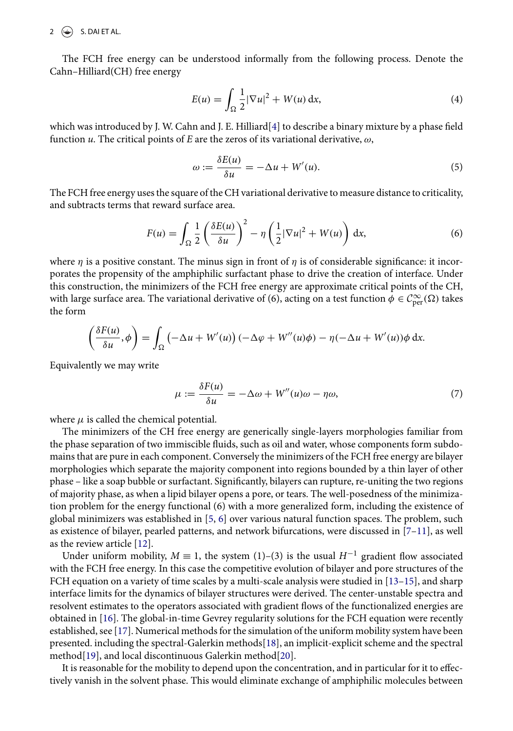$2 \quad \Leftrightarrow$  S. DAI ET AL.

The FCH free energy can be understood informally from the following process. Denote the Cahn–Hilliard(CH) free energy

$$
E(u) = \int_{\Omega} \frac{1}{2} |\nabla u|^2 + W(u) \, \mathrm{d}x,\tag{4}
$$

which was introduced by J. W. Cahn and J. E. Hilliard[4] to describe a binary mixture by a phase field function u. The critical points of E are the zeros of its variational derivative,  $\omega$ ,

$$
\omega := \frac{\delta E(u)}{\delta u} = -\Delta u + W'(u). \tag{5}
$$

The FCH free energy uses the square of the CH variational derivative to measure distance to criticality, and subtracts terms that reward surface area.

$$
F(u) = \int_{\Omega} \frac{1}{2} \left( \frac{\delta E(u)}{\delta u} \right)^2 - \eta \left( \frac{1}{2} |\nabla u|^2 + W(u) \right) dx, \tag{6}
$$

where  $\eta$  is a positive constant. The minus sign in front of  $\eta$  is of considerable significance: it incorporates the propensity of the amphiphilic surfactant phase to drive the creation of interface. Under this construction, the minimizers of the FCH free energy are approximate critical points of the CH, with large surface area. The variational derivative of (6), acting on a test function  $\phi \in C^{\infty}_{per}(\Omega)$  takes the form

$$
\left(\frac{\delta F(u)}{\delta u}, \phi\right) = \int_{\Omega} \left(-\Delta u + W'(u)\right) \left(-\Delta \phi + W''(u)\phi\right) - \eta(-\Delta u + W'(u))\phi \,dx.
$$

Equivalently we may write

$$
\mu := \frac{\delta F(u)}{\delta u} = -\Delta \omega + W''(u)\omega - \eta \omega, \tag{7}
$$

where  $\mu$  is called the chemical potential.

The minimizers of the CH free energy are generically single-layers morphologies familiar from the phase separation of two immiscible fluids, such as oil and water, whose components form subdomains that are pure in each component. Conversely the minimizers of the FCH free energy are bilayer morphologies which separate the majority component into regions bounded by a thin layer of other phase – like a soap bubble or surfactant. Significantly, bilayers can rupture, re-uniting the two regions of majority phase, as when a lipid bilayer opens a pore, or tears. The well-posedness of the minimization problem for the energy functional (6) with a more generalized form, including the existence of global minimizers was established in [5, 6] over various natural function spaces. The problem, such as existence of bilayer, pearled patterns, and network bifurcations, were discussed in [7–11], as well as the review article [12].

Under uniform mobility,  $M \equiv 1$ , the system (1)–(3) is the usual  $H^{-1}$  gradient flow associated with the FCH free energy. In this case the competitive evolution of bilayer and pore structures of the FCH equation on a variety of time scales by a multi-scale analysis were studied in [13–15], and sharp interface limits for the dynamics of bilayer structures were derived. The center-unstable spectra and resolvent estimates to the operators associated with gradient flows of the functionalized energies are obtained in [16]. The global-in-time Gevrey regularity solutions for the FCH equation were recently established, see [17]. Numerical methods for the simulation of the uniform mobility system have been presented. including the spectral-Galerkin methods[18], an implicit-explicit scheme and the spectral method[19], and local discontinuous Galerkin method[20].

It is reasonable for the mobility to depend upon the concentration, and in particular for it to effectively vanish in the solvent phase. This would eliminate exchange of amphiphilic molecules between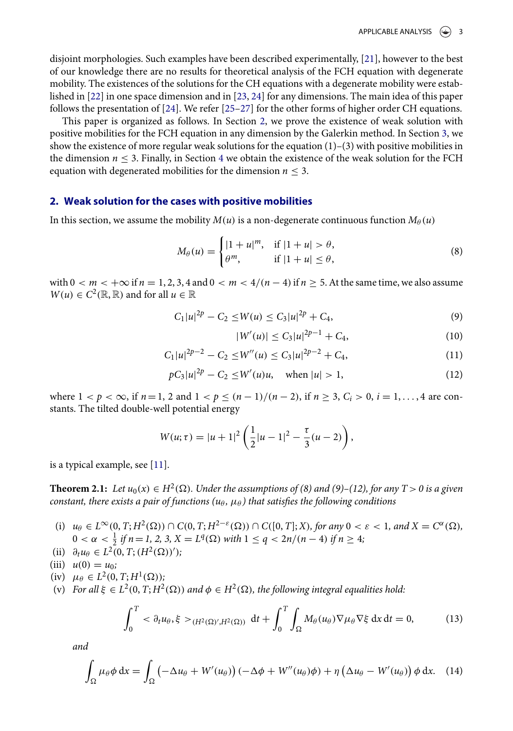disjoint morphologies. Such examples have been described experimentally, [21], however to the best of our knowledge there are no results for theoretical analysis of the FCH equation with degenerate mobility. The existences of the solutions for the CH equations with a degenerate mobility were established in [22] in one space dimension and in [23, 24] for any dimensions. The main idea of this paper follows the presentation of [24]. We refer [25–27] for the other forms of higher order CH equations.

This paper is organized as follows. In Section 2, we prove the existence of weak solution with positive mobilities for the FCH equation in any dimension by the Galerkin method. In Section 3, we show the existence of more regular weak solutions for the equation  $(1)-(3)$  with positive mobilities in the dimension  $n < 3$ . Finally, in Section 4 we obtain the existence of the weak solution for the FCH equation with degenerated mobilities for the dimension  $n < 3$ .

#### **2. Weak solution for the cases with positive mobilities**

In this section, we assume the mobility  $M(u)$  is a non-degenerate continuous function  $M_\theta(u)$ 

$$
M_{\theta}(u) = \begin{cases} |1+u|^m, & \text{if } |1+u| > \theta, \\ \theta^m, & \text{if } |1+u| \le \theta, \end{cases}
$$
 (8)

with  $0 < m < +\infty$  if  $n = 1, 2, 3, 4$  and  $0 < m < 4/(n-4)$  if  $n > 5$ . At the same time, we also assume  $W(u) \in C^2(\mathbb{R}, \mathbb{R})$  and for all  $u \in \mathbb{R}$ 

$$
C_1|u|^{2p} - C_2 \le W(u) \le C_3|u|^{2p} + C_4,\tag{9}
$$

$$
|W'(u)| \le C_3 |u|^{2p-1} + C_4,\tag{10}
$$

$$
C_1|u|^{2p-2} - C_2 \le W''(u) \le C_3|u|^{2p-2} + C_4,\tag{11}
$$

$$
pC_3|u|^{2p} - C_2 \le W'(u)u, \quad \text{when } |u| > 1,
$$
 (12)

where  $1 < p < \infty$ , if  $n = 1, 2$  and  $1 < p \le (n - 1)/(n - 2)$ , if  $n \ge 3$ ,  $C_i > 0$ ,  $i = 1, ..., 4$  are constants. The tilted double-well potential energy

$$
W(u; \tau) = |u+1|^2 \left( \frac{1}{2} |u-1|^2 - \frac{\tau}{3} (u-2) \right),
$$

is a typical example, see [11].

**Theorem 2.1:** Let  $u_0(x) \in H^2(\Omega)$ . Under the assumptions of (8) and (9)–(12), for any  $T > 0$  is a given constant, there exists a pair of functions ( $u_{\theta}$ ,  $\mu_{\theta}$ ) that satisfies the following conditions

- (i)  $u_{\theta} \in L^{\infty}(0,T;H^2(\Omega)) \cap C(0,T;H^{2-\varepsilon}(\Omega)) \cap C([0,T];X)$ , for any  $0 < \varepsilon < 1$ , and  $X = C^{\alpha}(\Omega)$ ,  $0 < \alpha < \frac{1}{2}$  if  $n = 1, 2, 3, X = L^q(\Omega)$  with  $1 \le q < 2n/(n-4)$  if  $n \ge 4$ ;
- (ii)  $\partial_t u_\theta \in L^2(0, T; (H^2(\Omega))')$ ;

(iii) 
$$
u(0) = u_0;
$$

- (iv)  $\mu_{\theta} \in L^2(0, T; H^1(\Omega));$
- (v) For all  $\xi \in L^2(0, T; H^2(\Omega))$  and  $\phi \in H^2(\Omega)$ , the following integral equalities hold:

$$
\int_0^T < \partial_t u_\theta, \xi >_{(H^2(\Omega)', H^2(\Omega))} \mathrm{d}t + \int_0^T \int_\Omega M_\theta(u_\theta) \nabla \mu_\theta \nabla \xi \mathrm{d}x \mathrm{d}t = 0,\tag{13}
$$

and

$$
\int_{\Omega} \mu_{\theta} \phi \, dx = \int_{\Omega} \left( -\Delta u_{\theta} + W'(u_{\theta}) \right) \left( -\Delta \phi + W''(u_{\theta}) \phi \right) + \eta \left( \Delta u_{\theta} - W'(u_{\theta}) \right) \phi \, dx. \tag{14}
$$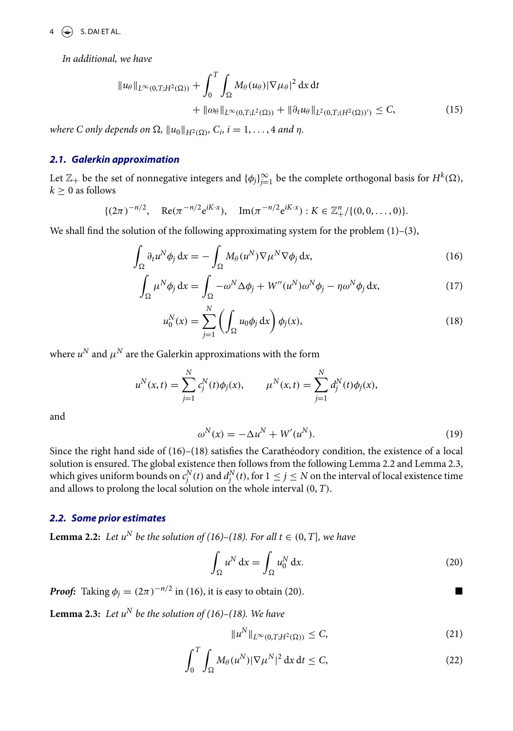$4 \quad \textcircled{\LARGE{\LARGE{\text{}}}$  S. DAI ET AL.

In additional, we have

$$
\|u_{\theta}\|_{L^{\infty}(0,T;H^{2}(\Omega))} + \int_{0}^{T} \int_{\Omega} M_{\theta}(u_{\theta}) |\nabla \mu_{\theta}|^{2} dx dt
$$
  
+ 
$$
\|\omega_{\theta}\|_{L^{\infty}(0,T;L^{2}(\Omega))} + \|\partial_{t} u_{\theta}\|_{L^{2}(0,T;(H^{2}(\Omega))')} \leq C,
$$
 (15)

where C only depends on  $\Omega$ ,  $||u_0||_{H^2(\Omega)}$ ,  $C_i$ ,  $i = 1, \ldots, 4$  and  $\eta$ .

#### **2.1. Galerkin approximation**

Let  $\mathbb{Z}_+$  be the set of nonnegative integers and  $\{\phi_j\}_{j=1}^\infty$  be the complete orthogonal basis for  $H^k(\Omega)$ ,  $k > 0$  as follows

$$
\{(2\pi)^{-n/2}, \quad \text{Re}(\pi^{-n/2}e^{iK \cdot x}), \quad \text{Im}(\pi^{-n/2}e^{iK \cdot x}) : K \in \mathbb{Z}_+^n / \{(0, 0, \dots, 0)\}.
$$

We shall find the solution of the following approximating system for the problem  $(1)$ – $(3)$ ,

$$
\int_{\Omega} \partial_t u^N \phi_j \, \mathrm{d}x = -\int_{\Omega} M_\theta(u^N) \nabla \mu^N \nabla \phi_j \, \mathrm{d}x,\tag{16}
$$

$$
\int_{\Omega} \mu^N \phi_j \, dx = \int_{\Omega} -\omega^N \Delta \phi_j + W''(u^N) \omega^N \phi_j - \eta \omega^N \phi_j \, dx,\tag{17}
$$

$$
u_0^N(x) = \sum_{j=1}^N \left( \int_{\Omega} u_0 \phi_j \, dx \right) \phi_j(x), \tag{18}
$$

where  $u^N$  and  $\mu^N$  are the Galerkin approximations with the form

$$
u^N(x,t) = \sum_{j=1}^N c_j^N(t)\phi_j(x), \qquad \mu^N(x,t) = \sum_{j=1}^N d_j^N(t)\phi_j(x),
$$

and

$$
\omega^N(x) = -\Delta u^N + W'(u^N). \tag{19}
$$

Since the right hand side of (16)–(18) satisfies the Carathéodory condition, the existence of a local solution is ensured. The global existence then follows from the following Lemma 2.2 and Lemma 2.3, which gives uniform bounds on  $c_j^N(t)$  and  $d_j^N(t)$ , for  $1 \le j \le N$  on the interval of local existence time and allows to prolong the local solution on the whole interval  $(0,T)$ .

# **2.2. Some prior estimates**

**Lemma 2.2:** Let  $u^N$  be the solution of (16)–(18). For all  $t \in (0, T]$ , we have

$$
\int_{\Omega} u^N dx = \int_{\Omega} u_0^N dx.
$$
\n(20)

**Proof:** Taking  $\phi_j = (2\pi)^{-n/2}$  in (16), it is easy to obtain (20).

**Lemma 2.3:** Let  $u^N$  be the solution of (16)–(18). We have

$$
||u^N||_{L^{\infty}(0,T;H^2(\Omega))} \leq C,
$$
\n(21)

$$
\int_0^T \int_{\Omega} M_{\theta}(u^N) |\nabla \mu^N|^2 dx dt \le C,
$$
\n(22)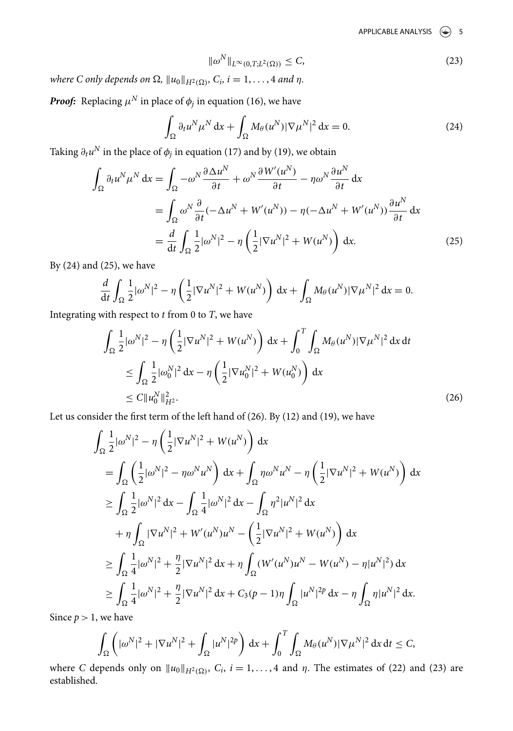APPLICABLE ANALYSIS  $\left(\bigcirc\right)$  5

$$
\|\omega^N\|_{L^{\infty}(0,T;L^2(\Omega))} \leq C,\tag{23}
$$

where C only depends on  $\Omega$ ,  $||u_0||_{H^2(\Omega)}$ ,  $C_i$ ,  $i = 1, \ldots, 4$  and  $\eta$ .

*Proof:* Replacing  $\mu^N$  in place of  $\phi_j$  in equation (16), we have

$$
\int_{\Omega} \partial_t u^N \mu^N dx + \int_{\Omega} M_\theta(u^N) |\nabla \mu^N|^2 dx = 0.
$$
 (24)

Taking  $\partial_t u^N$  in the place of  $\phi_j$  in equation (17) and by (19), we obtain

$$
\int_{\Omega} \partial_t u^N \mu^N dx = \int_{\Omega} -\omega^N \frac{\partial \Delta u^N}{\partial t} + \omega^N \frac{\partial W'(u^N)}{\partial t} - \eta \omega^N \frac{\partial u^N}{\partial t} dx
$$
  
\n
$$
= \int_{\Omega} \omega^N \frac{\partial}{\partial t} (-\Delta u^N + W'(u^N)) - \eta (-\Delta u^N + W'(u^N)) \frac{\partial u^N}{\partial t} dx
$$
  
\n
$$
= \frac{d}{dt} \int_{\Omega} \frac{1}{2} |\omega^N|^2 - \eta \left( \frac{1}{2} |\nabla u^N|^2 + W(u^N) \right) dx.
$$
 (25)

By (24) and (25), we have

$$
\frac{d}{dt}\int_{\Omega}\frac{1}{2}|\omega^N|^2 - \eta\left(\frac{1}{2}|\nabla u^N|^2 + W(u^N)\right)dx + \int_{\Omega}M_\theta(u^N)|\nabla\mu^N|^2 dx = 0.
$$

Integrating with respect to  $t$  from 0 to  $T$ , we have

$$
\int_{\Omega} \frac{1}{2} |\omega^N|^2 - \eta \left( \frac{1}{2} |\nabla u^N|^2 + W(u^N) \right) dx + \int_0^T \int_{\Omega} M_\theta(u^N) |\nabla \mu^N|^2 dx dt
$$
  
\n
$$
\leq \int_{\Omega} \frac{1}{2} |\omega_0^N|^2 dx - \eta \left( \frac{1}{2} |\nabla u_0^N|^2 + W(u_0^N) \right) dx
$$
  
\n
$$
\leq C \| u_0^N \|_{H^2}^2.
$$
\n(26)

Let us consider the first term of the left hand of (26). By (12) and (19), we have

$$
\int_{\Omega} \frac{1}{2} |\omega^{N}|^{2} - \eta \left( \frac{1}{2} |\nabla u^{N}|^{2} + W(u^{N}) \right) dx
$$
\n
$$
= \int_{\Omega} \left( \frac{1}{2} |\omega^{N}|^{2} - \eta \omega^{N} u^{N} \right) dx + \int_{\Omega} \eta \omega^{N} u^{N} - \eta \left( \frac{1}{2} |\nabla u^{N}|^{2} + W(u^{N}) \right) dx
$$
\n
$$
\geq \int_{\Omega} \frac{1}{2} |\omega^{N}|^{2} dx - \int_{\Omega} \frac{1}{4} |\omega^{N}|^{2} dx - \int_{\Omega} \eta^{2} |u^{N}|^{2} dx
$$
\n
$$
+ \eta \int_{\Omega} |\nabla u^{N}|^{2} + W'(u^{N}) u^{N} - \left( \frac{1}{2} |\nabla u^{N}|^{2} + W(u^{N}) \right) dx
$$
\n
$$
\geq \int_{\Omega} \frac{1}{4} |\omega^{N}|^{2} + \frac{\eta}{2} |\nabla u^{N}|^{2} dx + \eta \int_{\Omega} (W'(u^{N}) u^{N} - W(u^{N}) - \eta |u^{N}|^{2}) dx
$$
\n
$$
\geq \int_{\Omega} \frac{1}{4} |\omega^{N}|^{2} + \frac{\eta}{2} |\nabla u^{N}|^{2} dx + C_{3}(p - 1)\eta \int_{\Omega} |u^{N}|^{2p} dx - \eta \int_{\Omega} \eta |u^{N}|^{2} dx.
$$

Since  $p > 1$ , we have

$$
\int_{\Omega} \left( |\omega^N|^2 + |\nabla u^N|^2 + \int_{\Omega} |u^N|^{2p} \right) dx + \int_0^T \int_{\Omega} M_\theta(u^N) |\nabla \mu^N|^2 dx dt \leq C,
$$

where C depends only on  $||u_0||_{H^2(\Omega)}$ ,  $C_i$ ,  $i = 1, ..., 4$  and  $\eta$ . The estimates of (22) and (23) are established.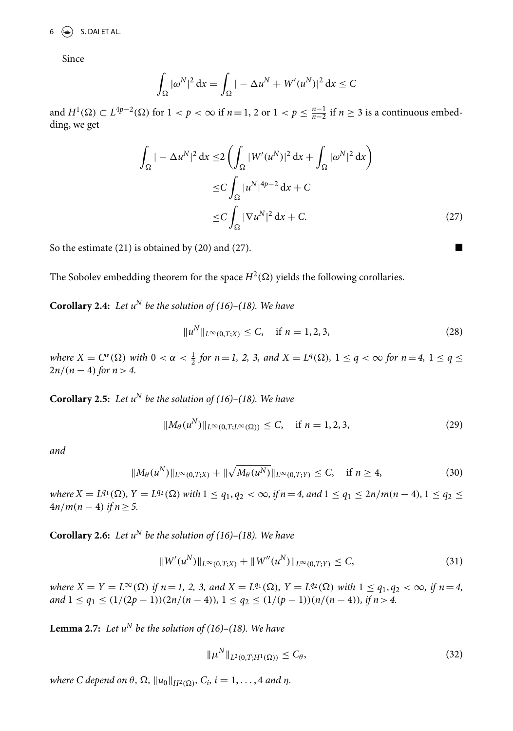$6 \quad \Leftrightarrow$  S. DAI ET AL.

Since

$$
\int_{\Omega} |\omega^N|^2 dx = \int_{\Omega} |-\Delta u^N + W'(u^N)|^2 dx \leq C
$$

and  $H^1(\Omega) \subset L^{4p-2}(\Omega)$  for  $1 < p < \infty$  if  $n = 1, 2$  or  $1 < p \leq \frac{n-1}{n-2}$  if  $n \geq 3$  is a continuous embedding, we get

$$
\int_{\Omega} |-\Delta u^N|^2 dx \le 2 \left( \int_{\Omega} |W'(u^N)|^2 dx + \int_{\Omega} |\omega^N|^2 dx \right)
$$
  
\n
$$
\le C \int_{\Omega} |u^N|^{4p-2} dx + C
$$
  
\n
$$
\le C \int_{\Omega} |\nabla u^N|^2 dx + C.
$$
\n(27)

So the estimate  $(21)$  is obtained by  $(20)$  and  $(27)$ .

The Sobolev embedding theorem for the space  $H^2(\Omega)$  yields the following corollaries.

**Corollary 2.4:** Let  $u^N$  be the solution of (16)–(18). We have

$$
||u^N||_{L^{\infty}(0,T;X)} \leq C, \quad \text{if } n = 1,2,3,
$$
 (28)

where  $X = C^{\alpha}(\Omega)$  with  $0 < \alpha < \frac{1}{2}$  for  $n = 1, 2, 3$ , and  $X = L^{q}(\Omega)$ ,  $1 \leq q < \infty$  for  $n = 4, 1 \leq q \leq$  $2n/(n-4)$  for  $n > 4$ .

**Corollary 2.5:** Let  $u^N$  be the solution of (16)–(18). We have

$$
||M_{\theta}(u^N)||_{L^{\infty}(0,T;L^{\infty}(\Omega))} \leq C, \quad \text{if } n = 1,2,3,
$$
\n(29)

and

$$
||M_{\theta}(u^N)||_{L^{\infty}(0,T;X)} + ||\sqrt{M_{\theta}(u^N)}||_{L^{\infty}(0,T;Y)} \leq C, \quad \text{if } n \geq 4,
$$
 (30)

where  $X = L^{q_1}(\Omega)$ ,  $Y = L^{q_2}(\Omega)$  with  $1 \le q_1, q_2 < \infty$ , if  $n = 4$ , and  $1 \le q_1 \le 2n/m(n-4)$ ,  $1 \le q_2 \le$  $4n/m(n-4)$  if  $n \geq 5$ .

**Corollary 2.6:** Let  $u^N$  be the solution of (16)–(18). We have

$$
||W'(u^N)||_{L^{\infty}(0,T;X)} + ||W''(u^N)||_{L^{\infty}(0,T;Y)} \leq C,
$$
\n(31)

where  $X = Y = L^{\infty}(\Omega)$  if  $n = 1, 2, 3,$  and  $X = L^{q_1}(\Omega)$ ,  $Y = L^{q_2}(\Omega)$  with  $1 \le q_1, q_2 < \infty$ , if  $n = 4$ , and  $1 \leq q_1 \leq (1/(2p-1))(2n/(n-4)), 1 \leq q_2 \leq (1/(p-1))(n/(n-4)),$  if  $n > 4$ .

**Lemma 2.7:** Let  $u^N$  be the solution of (16)–(18). We have

$$
\|\mu^N\|_{L^2(0,T;H^1(\Omega))} \le C_\theta,
$$
\n(32)

where C depend on  $\theta$ ,  $\Omega$ ,  $||u_0||_{H^2(\Omega)}$ ,  $C_i$ ,  $i = 1, \ldots, 4$  and  $\eta$ .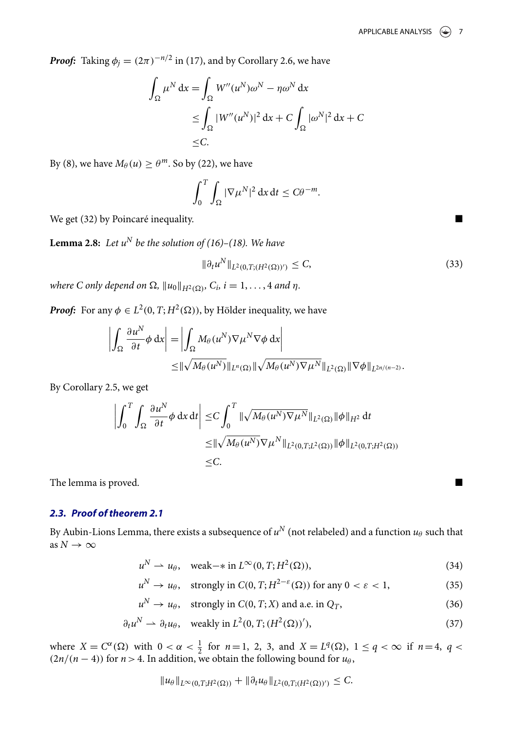*Proof:* Taking  $\phi_j = (2\pi)^{-n/2}$  in (17), and by Corollary 2.6, we have

$$
\int_{\Omega} \mu^N dx = \int_{\Omega} W''(u^N) \omega^N - \eta \omega^N dx
$$
  
\n
$$
\leq \int_{\Omega} |W''(u^N)|^2 dx + C \int_{\Omega} |\omega^N|^2 dx + C
$$
  
\n
$$
\leq C.
$$

By (8), we have  $M_{\theta}(u) \geq \theta^m$ . So by (22), we have

$$
\int_0^T \int_{\Omega} |\nabla \mu^N|^2 dx dt \leq C \theta^{-m}.
$$

We get (32) by Poincaré inequality.

**Lemma 2.8:** Let  $u^N$  be the solution of (16)–(18). We have

$$
\|\partial_t u^N\|_{L^2(0,T;(H^2(\Omega))')} \leq C,
$$
\n(33)

where C only depend on  $\Omega$ ,  $||u_0||_{H^2(\Omega)}$ ,  $C_i$ ,  $i = 1, \ldots, 4$  and  $\eta$ .

*Proof:* For any  $\phi \in L^2(0, T; H^2(\Omega))$ , by Hölder inequality, we have

$$
\left| \int_{\Omega} \frac{\partial u^N}{\partial t} \phi \, dx \right| = \left| \int_{\Omega} M_{\theta}(u^N) \nabla \mu^N \nabla \phi \, dx \right|
$$
  

$$
\leq ||\sqrt{M_{\theta}(u^N)}||_{L^n(\Omega)} ||\sqrt{M_{\theta}(u^N) \nabla \mu^N}||_{L^2(\Omega)} ||\nabla \phi||_{L^{2n/(n-2)}}.
$$

By Corollary 2.5, we get

$$
\left| \int_0^T \int_{\Omega} \frac{\partial u^N}{\partial t} \phi \, dx \, dt \right| \leq C \int_0^T \|\sqrt{M_\theta(u^N)} \nabla \mu^N \|_{L^2(\Omega)} \|\phi\|_{H^2} \, dt
$$
  

$$
\leq \|\sqrt{M_\theta(u^N)} \nabla \mu^N \|_{L^2(0,T;L^2(\Omega))} \|\phi\|_{L^2(0,T;H^2(\Omega))}
$$
  

$$
\leq C.
$$

The lemma is proved.

# **2.3. Proof of theorem 2.1**

By Aubin-Lions Lemma, there exists a subsequence of  $u^N$  (not relabeled) and a function  $u_\theta$  such that as  $N\to\infty$ 

$$
u^N \rightharpoonup u_\theta, \quad \text{weak} \rightharpoonup \text{in } L^\infty(0, T; H^2(\Omega)), \tag{34}
$$

$$
u^N \to u_\theta, \quad \text{strongly in } C(0, T; H^{2-\varepsilon}(\Omega)) \text{ for any } 0 < \varepsilon < 1,\tag{35}
$$

$$
u^N \to u_\theta, \quad \text{strongly in } C(0, T; X) \text{ and a.e. in } Q_T,
$$
\n(36)

$$
\partial_t u^N \rightharpoonup \partial_t u_\theta, \quad \text{weakly in } L^2(0, T; (H^2(\Omega))'),\tag{37}
$$

where  $X = C^{\alpha}(\Omega)$  with  $0 < \alpha < \frac{1}{2}$  for  $n = 1, 2, 3$ , and  $X = L^{q}(\Omega)$ ,  $1 \le q < \infty$  if  $n = 4, q <$  $(2n/(n-4))$  for  $n>4$ . In addition, we obtain the following bound for  $u_{\theta}$ ,

$$
||u_{\theta}||_{L^{\infty}(0,T;H^2(\Omega))} + ||\partial_t u_{\theta}||_{L^2(0,T;(H^2(\Omega))')} \leq C.
$$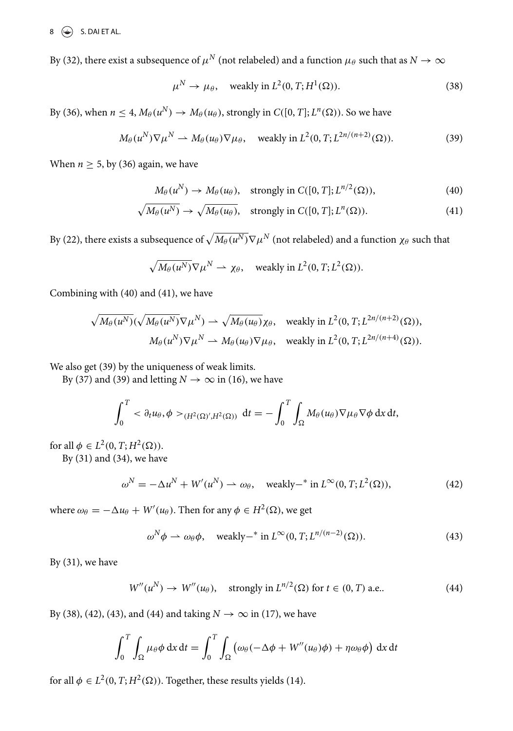$8 \quad \textcircled{\textcircled{\raisebox{-0.6ex}{\scriptsize$\bigcirc$}}}$  S. DAI ET AL.

By (32), there exist a subsequence of  $\mu^N$  (not relabeled) and a function  $\mu_\theta$  such that as  $N \to \infty$ 

$$
\mu^N \to \mu_\theta, \quad \text{weakly in } L^2(0, T; H^1(\Omega)). \tag{38}
$$

By (36), when  $n \leq 4$ ,  $M_{\theta}(u^N) \to M_{\theta}(u_{\theta})$ , strongly in  $C([0, T]; L^n(\Omega))$ . So we have

$$
M_{\theta}(u^N)\nabla \mu^N \rightharpoonup M_{\theta}(u_{\theta})\nabla \mu_{\theta}, \quad \text{weakly in } L^2(0, T; L^{2n/(n+2)}(\Omega)).
$$
 (39)

When  $n \geq 5$ , by (36) again, we have

$$
M_{\theta}(u^N) \to M_{\theta}(u_{\theta}), \quad \text{strongly in } C([0, T]; L^{n/2}(\Omega)), \tag{40}
$$

$$
\sqrt{M_{\theta}(u^N)} \to \sqrt{M_{\theta}(u_{\theta})}, \quad \text{strongly in } C([0, T]; L^n(\Omega)).
$$
\n(41)

By (22), there exists a subsequence of  $\sqrt{M_\theta(u^N)}\nabla \mu^N$  (not relabeled) and a function  $\chi_\theta$  such that

$$
\sqrt{M_{\theta}(u^N)}\nabla \mu^N \rightharpoonup \chi_{\theta}
$$
, weakly in  $L^2(0, T; L^2(\Omega))$ .

Combining with (40) and (41), we have

$$
\sqrt{M_{\theta}(u^N)}(\sqrt{M_{\theta}(u^N)}\nabla\mu^N) \rightharpoonup \sqrt{M_{\theta}(u_{\theta})}\chi_{\theta}, \quad \text{weakly in } L^2(0, T; L^{2n/(n+2)}(\Omega)),
$$
  

$$
M_{\theta}(u^N)\nabla\mu^N \rightharpoonup M_{\theta}(u_{\theta})\nabla\mu_{\theta}, \quad \text{weakly in } L^2(0, T; L^{2n/(n+4)}(\Omega)).
$$

We also get (39) by the uniqueness of weak limits.

By (37) and (39) and letting  $N \to \infty$  in (16), we have

$$
\int_0^T \langle \partial_t u_\theta, \phi \rangle_{(H^2(\Omega)', H^2(\Omega))} dt = - \int_0^T \int_{\Omega} M_\theta(u_\theta) \nabla \mu_\theta \nabla \phi dx dt,
$$

for all  $\phi \in L^2(0, T; H^2(\Omega)).$ 

By (31) and (34), we have

$$
\omega^N = -\Delta u^N + W'(u^N) \rightharpoonup \omega_\theta, \quad \text{weakly--* in } L^\infty(0, T; L^2(\Omega)),\tag{42}
$$

where  $\omega_{\theta} = -\Delta u_{\theta} + W'(u_{\theta})$ . Then for any  $\phi \in H^2(\Omega)$ , we get

$$
\omega^N \phi \rightharpoonup \omega_\theta \phi, \quad \text{weakly--* in } L^\infty(0,T; L^{n/(n-2)}(\Omega)). \tag{43}
$$

By (31), we have

$$
W''(u^N) \to W''(u_\theta), \quad \text{strongly in } L^{n/2}(\Omega) \text{ for } t \in (0, T) \text{ a.e.}. \tag{44}
$$

By (38), (42), (43), and (44) and taking  $N \rightarrow \infty$  in (17), we have

$$
\int_0^T \int_{\Omega} \mu_{\theta} \phi \, dx \, dt = \int_0^T \int_{\Omega} \left( \omega_{\theta} (-\Delta \phi + W''(u_{\theta}) \phi) + \eta \omega_{\theta} \phi \right) \, dx \, dt
$$

for all  $\phi \in L^2(0, T; H^2(\Omega))$ . Together, these results yields (14).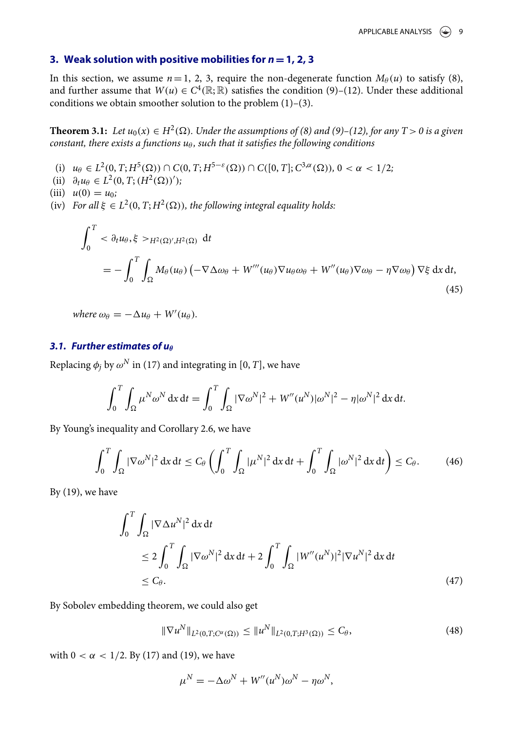#### **3. Weak solution with positive mobilities for n**=**1, 2, 3**

In this section, we assume  $n=1, 2, 3$ , require the non-degenerate function  $M_\theta(u)$  to satisfy (8), and further assume that  $W(u) \in C^4(\mathbb{R}; \mathbb{R})$  satisfies the condition (9)–(12). Under these additional conditions we obtain smoother solution to the problem (1)–(3).

**Theorem 3.1:** Let  $u_0(x) \in H^2(\Omega)$ . Under the assumptions of (8) and (9)–(12), for any  $T > 0$  is a given constant, there exists a functions  $u_{\theta}$ , such that it satisfies the following conditions

- (i)  $u_{\theta} \in L^2(0, T; H^5(\Omega)) \cap C(0, T; H^{5-\varepsilon}(\Omega)) \cap C([0, T]; C^{3,\alpha}(\Omega)), 0 < \alpha < 1/2;$
- (ii)  $\partial_t u_\theta \in L^2(0, T; (H^2(\Omega))')$ ;

(iii) 
$$
u(0) = u_0;
$$

(iv) For all  $\xi \in L^2(0, T; H^2(\Omega))$ , the following integral equality holds:

$$
\int_0^T \langle \partial_t u_\theta, \xi \rangle_{H^2(\Omega)', H^2(\Omega)} dt
$$
\n
$$
= -\int_0^T \int_{\Omega} M_\theta(u_\theta) \left( -\nabla \Delta \omega_\theta + W'''(u_\theta) \nabla u_\theta \omega_\theta + W''(u_\theta) \nabla \omega_\theta - \eta \nabla \omega_\theta \right) \nabla \xi \, dx \, dt,
$$
\n(45)

where  $\omega_{\theta} = -\Delta u_{\theta} + W'(u_{\theta}).$ 

### **3.1. Further estimates of u** $\theta$

Replacing  $\phi_j$  by  $\omega^N$  in (17) and integrating in [0, T], we have

$$
\int_0^T \int_{\Omega} \mu^N \omega^N dx dt = \int_0^T \int_{\Omega} |\nabla \omega^N|^2 + W''(u^N) |\omega^N|^2 - \eta |\omega^N|^2 dx dt.
$$

By Young's inequality and Corollary 2.6, we have

$$
\int_0^T \int_{\Omega} |\nabla \omega^N|^2 dx dt \le C_\theta \left( \int_0^T \int_{\Omega} |\mu^N|^2 dx dt + \int_0^T \int_{\Omega} |\omega^N|^2 dx dt \right) \le C_\theta.
$$
 (46)

By  $(19)$ , we have

$$
\int_0^T \int_{\Omega} |\nabla \Delta u^N|^2 dx dt
$$
  
\n
$$
\leq 2 \int_0^T \int_{\Omega} |\nabla \omega^N|^2 dx dt + 2 \int_0^T \int_{\Omega} |W''(u^N)|^2 |\nabla u^N|^2 dx dt
$$
  
\n
$$
\leq C_\theta.
$$
\n(47)

By Sobolev embedding theorem, we could also get

$$
\|\nabla u^N\|_{L^2(0,T;C^{\alpha}(\Omega))} \le \|u^N\|_{L^2(0,T;H^3(\Omega))} \le C_{\theta},\tag{48}
$$

with  $0 < \alpha < 1/2$ . By (17) and (19), we have

$$
\mu^N = -\Delta \omega^N + W''(u^N)\omega^N - \eta \omega^N,
$$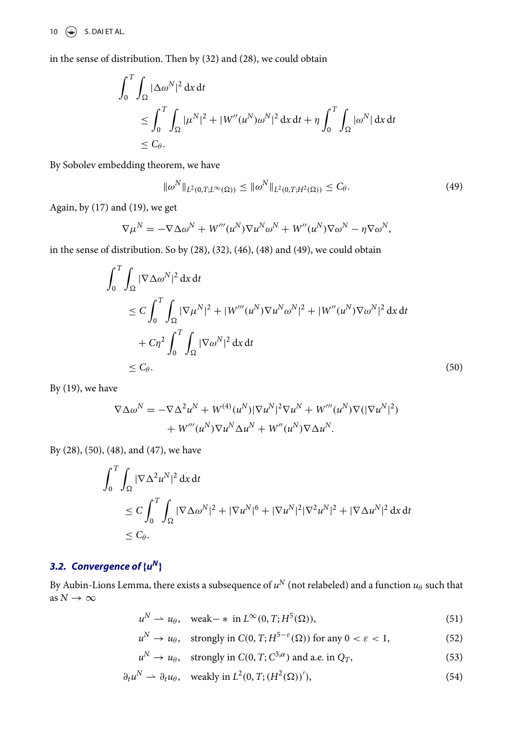10  $\left(\frac{1}{2}\right)$  S. DAI ET AL.

in the sense of distribution. Then by (32) and (28), we could obtain

$$
\int_0^T \int_{\Omega} |\Delta \omega^N|^2 dx dt
$$
  
\n
$$
\leq \int_0^T \int_{\Omega} |\mu^N|^2 + |W''(u^N)\omega^N|^2 dx dt + \eta \int_0^T \int_{\Omega} |\omega^N| dx dt
$$
  
\n
$$
\leq C_\theta.
$$

By Sobolev embedding theorem, we have

$$
\|\omega^N\|_{L^2(0,T;L^\infty(\Omega))} \le \|\omega^N\|_{L^2(0,T;H^2(\Omega))} \le C_\theta.
$$
\n(49)

Again, by (17) and (19), we get

$$
\nabla \mu^{N} = -\nabla \Delta \omega^{N} + W'''(u^{N}) \nabla u^{N} \omega^{N} + W''(u^{N}) \nabla \omega^{N} - \eta \nabla \omega^{N},
$$

in the sense of distribution. So by (28), (32), (46), (48) and (49), we could obtain

$$
\int_0^T \int_{\Omega} |\nabla \Delta \omega^N|^2 dx dt
$$
  
\n
$$
\leq C \int_0^T \int_{\Omega} |\nabla \mu^N|^2 + |W'''(u^N) \nabla u^N \omega^N|^2 + |W''(u^N) \nabla \omega^N|^2 dx dt
$$
  
\n
$$
+ C\eta^2 \int_0^T \int_{\Omega} |\nabla \omega^N|^2 dx dt
$$
  
\n
$$
\leq C_\theta.
$$
\n(50)

By  $(19)$ , we have

$$
\nabla \Delta \omega^N = -\nabla \Delta^2 u^N + W^{(4)}(u^N)|\nabla u^N|^2 \nabla u^N + W'''(u^N)\nabla (|\nabla u^N|^2) + W'''(u^N)\nabla u^N \Delta u^N + W''(u^N)\nabla \Delta u^N.
$$

By (28), (50), (48), and (47), we have

$$
\int_0^T \int_{\Omega} |\nabla \Delta^2 u^N|^2 dx dt
$$
  
\n
$$
\leq C \int_0^T \int_{\Omega} |\nabla \Delta \omega^N|^2 + |\nabla u^N|^6 + |\nabla u^N|^2 |\nabla^2 u^N|^2 + |\nabla \Delta u^N|^2 dx dt
$$
  
\n
$$
\leq C_\theta.
$$

# **3.2.** Convergence of  $\{u^N\}$

By Aubin-Lions Lemma, there exists a subsequence of  $u^N$  (not relabeled) and a function  $u_\theta$  such that as  $N \to \infty$ 

$$
u^N \rightharpoonup u_\theta, \quad \text{weak}-\ast \text{ in } L^\infty(0,T;H^5(\Omega)),\tag{51}
$$

$$
u^N \to u_\theta, \quad \text{strongly in } C(0, T; H^{5-\varepsilon}(\Omega)) \text{ for any } 0 < \varepsilon < 1,\tag{52}
$$

$$
u^N \to u_\theta
$$
, strongly in  $C(0, T; C^{3,\alpha})$  and a.e. in  $Q_T$ , (53)

$$
\partial_t u^N \rightharpoonup \partial_t u_\theta, \quad \text{weakly in } L^2(0, T; (H^2(\Omega))'),\tag{54}
$$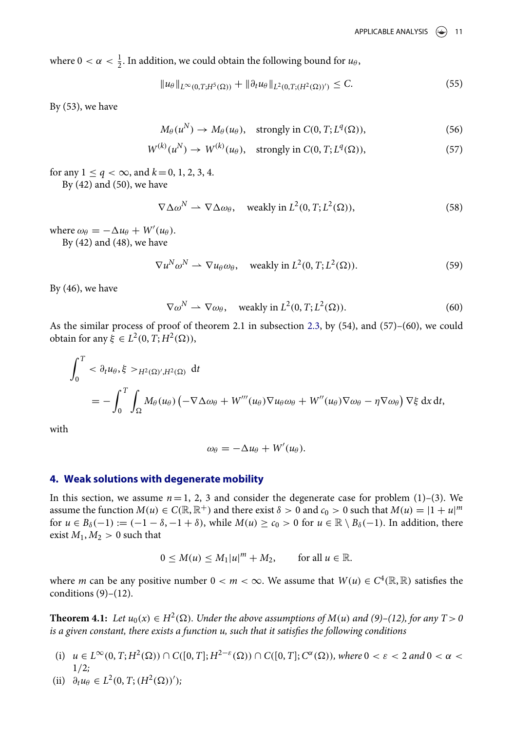where  $0 < \alpha < \frac{1}{2}$ . In addition, we could obtain the following bound for  $u_{\theta}$ ,

$$
||u_{\theta}||_{L^{\infty}(0,T;H^{5}(\Omega))} + ||\partial_{t}u_{\theta}||_{L^{2}(0,T;(H^{2}(\Omega))')} \leq C.
$$
\n(55)

By (53), we have

$$
M_{\theta}(u^N) \to M_{\theta}(u_{\theta}), \quad \text{strongly in } C(0, T; L^q(\Omega)), \tag{56}
$$

$$
W^{(k)}(u^N) \to W^{(k)}(u_\theta), \quad \text{strongly in } C(0, T; L^q(\Omega)), \tag{57}
$$

for any  $1 \le q < \infty$ , and  $k = 0, 1, 2, 3, 4$ .

By  $(42)$  and  $(50)$ , we have

$$
\nabla \Delta \omega^N \rightharpoonup \nabla \Delta \omega_\theta, \quad \text{weakly in } L^2(0, T; L^2(\Omega)), \tag{58}
$$

where  $\omega_{\theta} = -\Delta u_{\theta} + W'(u_{\theta}).$ 

By (42) and (48), we have

$$
\nabla u^N \omega^N \rightharpoonup \nabla u_\theta \omega_\theta, \quad \text{weakly in } L^2(0, T; L^2(\Omega)). \tag{59}
$$

By (46), we have

$$
\nabla \omega^N \rightharpoonup \nabla \omega_\theta, \quad \text{weakly in } L^2(0, T; L^2(\Omega)). \tag{60}
$$

As the similar process of proof of theorem 2.1 in subsection 2.3, by (54), and (57)–(60), we could obtain for any  $\xi \in L^2(0, T; H^2(\Omega)),$ 

$$
\int_0^T <\partial_t u_\theta, \xi >_{H^2(\Omega)',H^2(\Omega)} dt
$$
  
= 
$$
- \int_0^T \int_{\Omega} M_\theta(u_\theta) \left( -\nabla \Delta \omega_\theta + W'''(u_\theta) \nabla u_\theta \omega_\theta + W''(u_\theta) \nabla \omega_\theta - \eta \nabla \omega_\theta \right) \nabla \xi \, dx \, dt,
$$

with

$$
\omega_{\theta}=-\Delta u_{\theta}+W'(u_{\theta}).
$$

### **4. Weak solutions with degenerate mobility**

In this section, we assume  $n=1, 2, 3$  and consider the degenerate case for problem (1)–(3). We assume the function  $M(u) \in C(\mathbb{R}, \mathbb{R}^+)$  and there exist  $\delta > 0$  and  $c_0 > 0$  such that  $M(u) = |1 + u|^m$ for  $u \in B_\delta(-1) := (-1 - \delta, -1 + \delta)$ , while  $M(u) \ge c_0 > 0$  for  $u \in \mathbb{R} \setminus B_\delta(-1)$ . In addition, there exist  $M_1, M_2 > 0$  such that

$$
0 \le M(u) \le M_1|u|^m + M_2, \quad \text{for all } u \in \mathbb{R}.
$$

where *m* can be any positive number  $0 < m < \infty$ . We assume that  $W(u) \in C^4(\mathbb{R}, \mathbb{R})$  satisfies the conditions  $(9)-(12)$ .

**Theorem 4.1:** Let  $u_0(x) \in H^2(\Omega)$ . Under the above assumptions of  $M(u)$  and (9)–(12), for any  $T > 0$ is a given constant, there exists a function u, such that it satisfies the following conditions

- (i)  $u \in L^{\infty}(0, T; H^2(\Omega)) \cap C([0, T]; H^{2-\varepsilon}(\Omega)) \cap C([0, T]; C^{\alpha}(\Omega))$ , where  $0 < \varepsilon < 2$  and  $0 < \alpha <$  $1/2;$
- (ii)  $\partial_t u_\theta \in L^2(0, T; (H^2(\Omega))')$ ;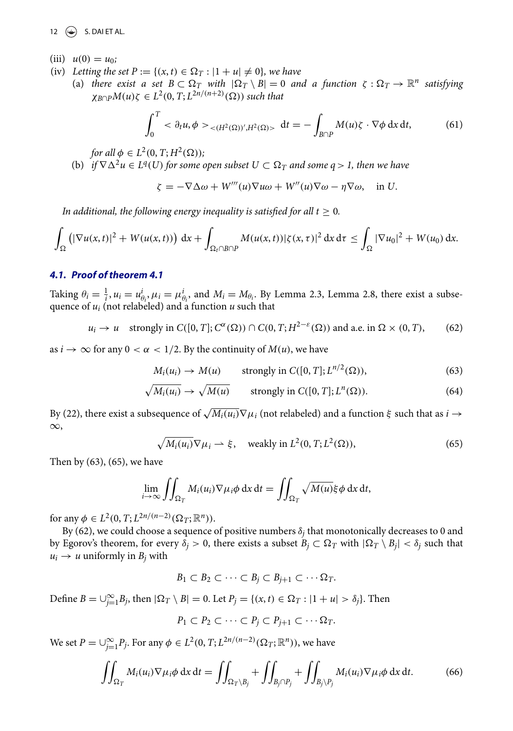12  $\left(\frac{1}{2}\right)$  S. DAI ET AL.

- (iii)  $u(0) = u_0$ ;
- (iv) Letting the set  $P := \{(x, t) \in \Omega_T : |1 + u| \neq 0\}$ , we have
	- (a) there exist a set  $B \subset \Omega_T$  with  $|\Omega_T \setminus B| = 0$  and a function  $\zeta : \Omega_T \to \mathbb{R}^n$  satisfying  $\chi_{B \cap P} M(u) \zeta \in L^2(0, T; L^{2n/(n+2)}(\Omega))$  such that

$$
\int_0^T <\partial_t u, \phi>_{\lt (H^2(\Omega))',H^2(\Omega)>} dt = -\int_{B \cap P} M(u)\zeta \cdot \nabla \phi \,dx\,dt,\tag{61}
$$

for all  $\phi \in L^2(0, T; H^2(\Omega));$ 

(b) if  $\nabla \Delta^2 u \in L^q(U)$  for some open subset  $U \subset \Omega_T$  and some  $q > 1$ , then we have

$$
\zeta = -\nabla \Delta \omega + W'''(u)\nabla u\omega + W''(u)\nabla \omega - \eta \nabla \omega, \quad \text{in } U.
$$

In additional, the following energy inequality is satisfied for all  $t \geq 0$ .

$$
\int_{\Omega} \left( |\nabla u(x,t)|^2 + W(u(x,t)) \right) dx + \int_{\Omega_t \cap B \cap P} M(u(x,t)) |\zeta(x,\tau)|^2 dx d\tau \leq \int_{\Omega} |\nabla u_0|^2 + W(u_0) dx.
$$

## **4.1. Proof of theorem 4.1**

Taking  $\theta_i = \frac{1}{i}$ ,  $u_i = u_{\theta_i}^i$ ,  $\mu_i = \mu_{\theta_i}^i$ , and  $M_i = M_{\theta_i}$ . By Lemma 2.3, Lemma 2.8, there exist a subsequence of  $u_i$  (not relabeled) and a function  $u$  such that

$$
u_i \to u
$$
 strongly in  $C([0, T]; C^{\alpha}(\Omega)) \cap C(0, T; H^{2-\epsilon}(\Omega))$  and a.e. in  $\Omega \times (0, T)$ , (62)

as  $i \to \infty$  for any  $0 < \alpha < 1/2$ . By the continuity of  $M(u)$ , we have

$$
M_i(u_i) \to M(u) \qquad \text{strongly in } C([0, T]; L^{n/2}(\Omega)), \tag{63}
$$

$$
\sqrt{M_i(u_i)} \to \sqrt{M(u)} \qquad \text{strongly in } C([0, T]; L^n(\Omega)). \tag{64}
$$

By (22), there exist a subsequence of  $\sqrt{M_i(u_i)}\nabla\mu_i$  (not relabeled) and a function  $\xi$  such that as  $i \to$ ∞,

$$
\sqrt{M_i(u_i)}\nabla\mu_i \rightharpoonup \xi, \quad \text{weakly in } L^2(0, T; L^2(\Omega)),\tag{65}
$$

Then by (63), (65), we have

$$
\lim_{i\to\infty}\iint_{\Omega_T}M_i(u_i)\nabla\mu_i\phi\,dx\,dt=\iint_{\Omega_T}\sqrt{M(u)}\xi\phi\,dx\,dt,
$$

for any  $\phi \in L^2(0, T; L^{2n/(n-2)}(\Omega_T; \mathbb{R}^n)).$ 

By (62), we could choose a sequence of positive numbers  $\delta_i$  that monotonically decreases to 0 and by Egorov's theorem, for every  $\delta_j > 0$ , there exists a subset  $B_j \subset \Omega_T$  with  $|\Omega_T \setminus B_j| < \delta_j$  such that  $u_i \rightarrow u$  uniformly in  $B_i$  with

$$
B_1 \subset B_2 \subset \cdots \subset B_j \subset B_{j+1} \subset \cdots \Omega_T.
$$

Define  $B = \bigcup_{j=1}^{\infty} B_j$ , then  $|\Omega_T \setminus B| = 0$ . Let  $P_j = \{(x, t) \in \Omega_T : |1 + u| > \delta_j\}$ . Then

$$
P_1 \subset P_2 \subset \cdots \subset P_j \subset P_{j+1} \subset \cdots \Omega_T.
$$

We set  $P = \bigcup_{j=1}^{\infty} P_j$ . For any  $\phi \in L^2(0, T; L^{2n/(n-2)}(\Omega_T; \mathbb{R}^n))$ , we have

$$
\iint_{\Omega_T} M_i(u_i) \nabla \mu_i \phi \, dx \, dt = \iint_{\Omega_T \backslash B_j} + \iint_{B_j \cap P_j} + \iint_{B_j \backslash P_j} M_i(u_i) \nabla \mu_i \phi \, dx \, dt. \tag{66}
$$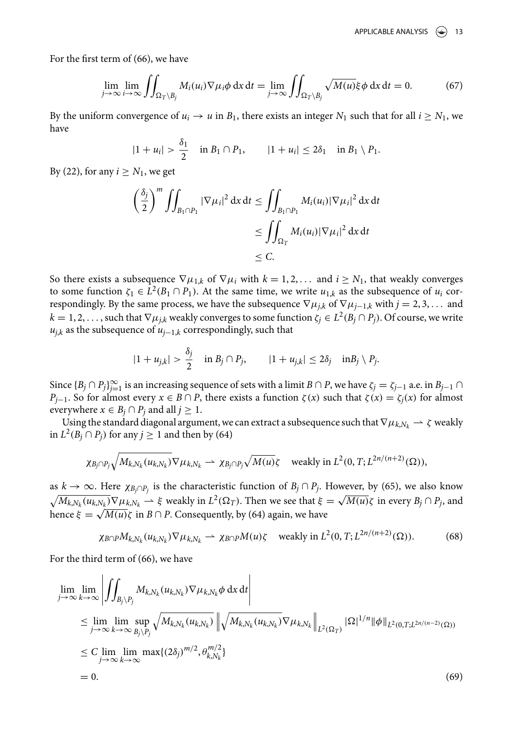For the first term of (66), we have

$$
\lim_{j \to \infty} \lim_{i \to \infty} \iint_{\Omega_T \setminus B_j} M_i(u_i) \nabla \mu_i \phi \, dx \, dt = \lim_{j \to \infty} \iint_{\Omega_T \setminus B_j} \sqrt{M(u)} \xi \phi \, dx \, dt = 0. \tag{67}
$$

By the uniform convergence of  $u_i \to u$  in  $B_1$ , there exists an integer  $N_1$  such that for all  $i \ge N_1$ , we have

$$
|1 + u_i| > \frac{\delta_1}{2}
$$
 in  $B_1 \cap P_1$ ,  $|1 + u_i| \le 2\delta_1$  in  $B_1 \setminus P_1$ .

By (22), for any  $i \geq N_1$ , we get

$$
\left(\frac{\delta_j}{2}\right)^m \iint_{B_1 \cap P_1} |\nabla \mu_i|^2 dx dt \le \iint_{B_1 \cap P_1} M_i(u_i) |\nabla \mu_i|^2 dx dt
$$
  
\n
$$
\le \iint_{\Omega_T} M_i(u_i) |\nabla \mu_i|^2 dx dt
$$
  
\n
$$
\le C.
$$

So there exists a subsequence  $\nabla \mu_{1,k}$  of  $\nabla \mu_i$  with  $k = 1, 2, \dots$  and  $i \geq N_1$ , that weakly converges to some function  $\zeta_1 \in L^2(B_1 \cap P_1)$ . At the same time, we write  $u_{1,k}$  as the subsequence of  $u_i$  correspondingly. By the same process, we have the subsequence  $\nabla \mu_{ik}$  of  $\nabla \mu_{j-1,k}$  with  $j = 2, 3, \dots$  and  $k = 1, 2, \ldots$ , such that  $\nabla \mu_{j,k}$  weakly converges to some function  $\zeta_j \in L^2(B_j \cap P_j)$ . Of course, we write  $u_{j,k}$  as the subsequence of  $u_{j-1,k}$  correspondingly, such that

$$
|1 + u_{j,k}| > \frac{\delta_j}{2} \quad \text{in } B_j \cap P_j, \qquad |1 + u_{j,k}| \le 2\delta_j \quad \text{in } B_j \setminus P_j.
$$

Since  ${B_j \cap P_j}_{j=1}^\infty$  is an increasing sequence of sets with a limit  $B \cap P$ , we have  $\zeta_j = \zeta_{j-1}$  a.e. in  $B_{j-1} \cap P$  $P_{j-1}$ . So for almost every  $x \in B \cap P$ , there exists a function  $\zeta(x)$  such that  $\zeta(x) = \zeta_j(x)$  for almost everywhere  $x \in B_j \cap P_j$  and all  $j \geq 1$ .

Using the standard diagonal argument, we can extract a subsequence such that  $\nabla \mu_{k,Nk} \rightharpoonup \zeta$  weakly in  $L^2(B_j \cap P_j)$  for any  $j \ge 1$  and then by (64)

$$
\chi_{B_j \cap P_j} \sqrt{M_{k, N_k}(u_{k, N_k})} \nabla \mu_{k, N_k} \rightharpoonup \chi_{B_j \cap P_j} \sqrt{M(u)} \zeta \quad \text{ weakly in } L^2(0, T; L^{2n/(n+2)}(\Omega)),
$$

as  $k \to \infty$ . Here  $\chi_{B_j \cap P_j}$  is the characteristic function of  $B_j \cap P_j$ . However, by (65), we also know  $\sqrt{M_{k,N_k}(u_{k,N_k})}\nabla \mu_{k,N_k} \rightharpoonup \xi$  weakly in  $L^2(\Omega_T)$ . Then we see that  $\xi = \sqrt{M(u)}\zeta$  in every  $B_j \cap P_j$ , and hence  $\xi = \sqrt{M(u)}\zeta$  in  $B \cap P$ . Consequently, by (64) again, we have

$$
\chi_{B \cap P} M_{k, N_k}(u_{k, N_k}) \nabla \mu_{k, N_k} \rightharpoonup \chi_{B \cap P} M(u) \zeta \quad \text{ weakly in } L^2(0, T; L^{2n/(n+2)}(\Omega)). \tag{68}
$$

For the third term of (66), we have

$$
\lim_{j \to \infty} \lim_{k \to \infty} \left| \iint_{B_j \setminus P_j} M_{k, N_k}(u_{k, N_k}) \nabla \mu_{k, N_k} \phi \, dx \, dt \right|
$$
\n
$$
\leq \lim_{j \to \infty} \lim_{k \to \infty} \sup_{B_j \setminus P_j} \sqrt{M_{k, N_k}(u_{k, N_k})} \left\| \sqrt{M_{k, N_k}(u_{k, N_k})} \nabla \mu_{k, N_k} \right\|_{L^2(\Omega_T)} |\Omega|^{1/n} \|\phi\|_{L^2(0, T; L^{2n/(n-2)}(\Omega))}
$$
\n
$$
\leq C \lim_{j \to \infty} \lim_{k \to \infty} \max\{ (2\delta_j)^{m/2}, \theta_{k, N_k}^{m/2} \}
$$
\n
$$
= 0.
$$
\n(69)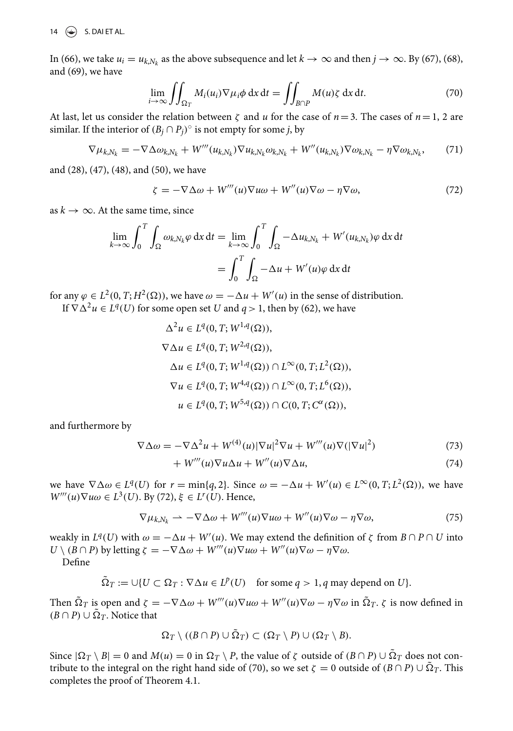14  $\left(\frac{1}{2}\right)$  S. DAI ET AL.

In (66), we take  $u_i = u_{k,N_k}$  as the above subsequence and let  $k \to \infty$  and then  $j \to \infty$ . By (67), (68), and (69), we have

$$
\lim_{i \to \infty} \iint_{\Omega_T} M_i(u_i) \nabla \mu_i \phi \, dx \, dt = \iint_{B \cap P} M(u) \zeta \, dx \, dt. \tag{70}
$$

At last, let us consider the relation between  $\zeta$  and u for the case of  $n=3$ . The cases of  $n=1, 2$  are similar. If the interior of  $(B_j \cap P_j)^\circ$  is not empty for some *j*, by

$$
\nabla \mu_{k,N_k} = -\nabla \Delta \omega_{k,N_k} + W'''(u_{k,N_k}) \nabla u_{k,N_k} \omega_{k,N_k} + W''(u_{k,N_k}) \nabla \omega_{k,N_k} - \eta \nabla \omega_{k,N_k},\tag{71}
$$

and (28), (47), (48), and (50), we have

$$
\zeta = -\nabla \Delta \omega + W'''(u)\nabla u\omega + W''(u)\nabla \omega - \eta \nabla \omega, \tag{72}
$$

as  $k \to \infty$ . At the same time, since

$$
\lim_{k \to \infty} \int_0^T \int_{\Omega} \omega_{k, N_k} \varphi \, dx \, dt = \lim_{k \to \infty} \int_0^T \int_{\Omega} -\Delta u_{k, N_k} + W'(u_{k, N_k}) \varphi \, dx \, dt
$$

$$
= \int_0^T \int_{\Omega} -\Delta u + W'(u) \varphi \, dx \, dt
$$

for any  $\varphi \in L^2(0, T; H^2(\Omega))$ , we have  $\omega = -\Delta u + W'(u)$  in the sense of distribution.

If  $\nabla \Delta^2 u \in L^q(U)$  for some open set U and  $q > 1$ , then by (62), we have

$$
\Delta^{2} u \in L^{q}(0, T; W^{1,q}(\Omega)),
$$
  
\n
$$
\nabla \Delta u \in L^{q}(0, T; W^{2,q}(\Omega)),
$$
  
\n
$$
\Delta u \in L^{q}(0, T; W^{1,q}(\Omega)) \cap L^{\infty}(0, T; L^{2}(\Omega)),
$$
  
\n
$$
\nabla u \in L^{q}(0, T; W^{4,q}(\Omega)) \cap L^{\infty}(0, T; L^{6}(\Omega)),
$$
  
\n
$$
u \in L^{q}(0, T; W^{5,q}(\Omega)) \cap C(0, T; C^{\alpha}(\Omega)),
$$

and furthermore by

$$
\nabla \Delta \omega = -\nabla \Delta^2 u + W^{(4)}(u) |\nabla u|^2 \nabla u + W'''(u) \nabla (|\nabla u|^2)
$$
\n(73)

$$
+ W'''(u)\nabla u \Delta u + W''(u)\nabla \Delta u, \qquad (74)
$$

we have  $\nabla \Delta \omega \in L^q(U)$  for  $r = \min\{q, 2\}$ . Since  $\omega = -\Delta u + W'(u) \in L^\infty(0, T; L^2(\Omega))$ , we have  $W'''(u)\nabla u\omega \in L^3(U)$ . By (72),  $\xi \in L^r(U)$ . Hence,

$$
\nabla \mu_{k,N_k} \rightharpoonup -\nabla \Delta \omega + W'''(u)\nabla u\omega + W''(u)\nabla \omega - \eta \nabla \omega, \tag{75}
$$

weakly in  $L^q(U)$  with  $\omega = -\Delta u + W'(u)$ . We may extend the definition of  $\zeta$  from  $B \cap P \cap U$  into  $U \setminus (B \cap P)$  by letting  $\zeta = -\nabla \Delta \omega + W'''(u)\nabla u \omega + W''(u)\nabla \omega - \eta \nabla \omega$ .

Define

$$
\tilde{\Omega}_T := \cup \{ U \subset \Omega_T : \nabla \Delta u \in L^p(U) \text{ for some } q > 1, q \text{ may depend on } U \}.
$$

Then  $\Omega_T$  is open and  $\zeta = -\nabla \Delta \omega + W'''(u)\nabla u \omega + W''(u)\nabla \omega - \eta \nabla \omega$  in  $\Omega_T$ .  $\zeta$  is now defined in  $(B \cap P) \cup \Omega_T$ . Notice that

$$
\Omega_T \setminus ((B \cap P) \cup \tilde{\Omega}_T) \subset (\Omega_T \setminus P) \cup (\Omega_T \setminus B).
$$

Since  $|\Omega_T \setminus B| = 0$  and  $M(u) = 0$  in  $\Omega_T \setminus P$ , the value of  $\zeta$  outside of  $(B \cap P) \cup \Omega_T$  does not contribute to the integral on the right hand side of (70), so we set  $\zeta = 0$  outside of  $(B \cap P) \cup \Omega_T$ . This completes the proof of Theorem 4.1.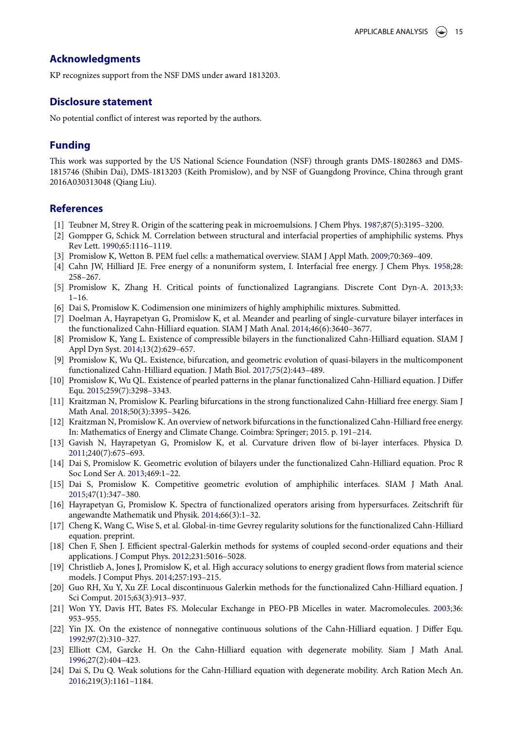#### **Acknowledgments**

KP recognizes support from the NSF DMS under award 1813203.

#### **Disclosure statement**

No potential conflict of interest was reported by the authors.

#### **Funding**

This work was supported by the US National Science Foundation (NSF) through grants DMS-1802863 and DMS-1815746 (Shibin Dai), DMS-1813203 (Keith Promislow), and by NSF of Guangdong Province, China through grant 2016A030313048 (Qiang Liu).

#### **References**

- [1] Teubner M, Strey R. Origin of the scattering peak in microemulsions. J Chem Phys. 1987;87(5):3195–3200.
- [2] Gompper G, Schick M. Correlation between structural and interfacial properties of amphiphilic systems. Phys Rev Lett. 1990;65:1116–1119.
- [3] Promislow K, Wetton B. PEM fuel cells: a mathematical overview. SIAM J Appl Math. 2009;70:369–409.
- [4] Cahn JW, Hilliard JE. Free energy of a nonuniform system, I. Interfacial free energy. J Chem Phys. 1958;28: 258–267.
- [5] Promislow K, Zhang H. Critical points of functionalized Lagrangians. Discrete Cont Dyn-A. 2013;33: 1–16.
- [6] Dai S, Promislow K. Codimension one minimizers of highly amphiphilic mixtures. Submitted.
- [7] Doelman A, Hayrapetyan G, Promislow K, et al. Meander and pearling of single-curvature bilayer interfaces in the functionalized Cahn-Hilliard equation. SIAM J Math Anal. 2014;46(6):3640–3677.
- [8] Promislow K, Yang L. Existence of compressible bilayers in the functionalized Cahn-Hilliard equation. SIAM J Appl Dyn Syst. 2014;13(2):629–657.
- [9] Promislow K, Wu QL. Existence, bifurcation, and geometric evolution of quasi-bilayers in the multicomponent functionalized Cahn-Hilliard equation. J Math Biol. 2017;75(2):443–489.
- [10] Promislow K, Wu QL. Existence of pearled patterns in the planar functionalized Cahn-Hilliard equation. J Differ Equ. 2015;259(7):3298–3343.
- [11] Kraitzman N, Promislow K. Pearling bifurcations in the strong functionalized Cahn-Hilliard free energy. Siam J Math Anal. 2018;50(3):3395–3426.
- [12] Kraitzman N, Promislow K. An overview of network bifurcations in the functionalized Cahn-Hilliard free energy. In: Mathematics of Energy and Climate Change. Coimbra: Springer; 2015. p. 191–214.
- [13] Gavish N, Hayrapetyan G, Promislow K, et al. Curvature driven flow of bi-layer interfaces. Physica D. 2011;240(7):675–693.
- [14] Dai S, Promislow K. Geometric evolution of bilayers under the functionalized Cahn-Hilliard equation. Proc R Soc Lond Ser A. 2013;469:1–22.
- [15] Dai S, Promislow K. Competitive geometric evolution of amphiphilic interfaces. SIAM J Math Anal. 2015;47(1):347–380.
- [16] Hayrapetyan G, Promislow K. Spectra of functionalized operators arising from hypersurfaces. Zeitschrift für angewandte Mathematik und Physik. 2014;66(3):1–32.
- [17] Cheng K, Wang C, Wise S, et al. Global-in-time Gevrey regularity solutions for the functionalized Cahn-Hilliard equation. preprint.
- [18] Chen F, Shen J. Efficient spectral-Galerkin methods for systems of coupled second-order equations and their applications. J Comput Phys. 2012;231:5016–5028.
- [19] Christlieb A, Jones J, Promislow K, et al. High accuracy solutions to energy gradient flows from material science models. J Comput Phys. 2014;257:193–215.
- [20] Guo RH, Xu Y, Xu ZF. Local discontinuous Galerkin methods for the functionalized Cahn-Hilliard equation. J Sci Comput. 2015;63(3):913–937.
- [21] Won YY, Davis HT, Bates FS. Molecular Exchange in PEO-PB Micelles in water. Macromolecules. 2003;36: 953–955.
- [22] Yin JX. On the existence of nonnegative continuous solutions of the Cahn-Hilliard equation. J Differ Equ. 1992;97(2):310–327.
- [23] Elliott CM, Garcke H. On the Cahn-Hilliard equation with degenerate mobility. Siam J Math Anal. 1996;27(2):404–423.
- [24] Dai S, Du Q. Weak solutions for the Cahn-Hilliard equation with degenerate mobility. Arch Ration Mech An. 2016;219(3):1161–1184.